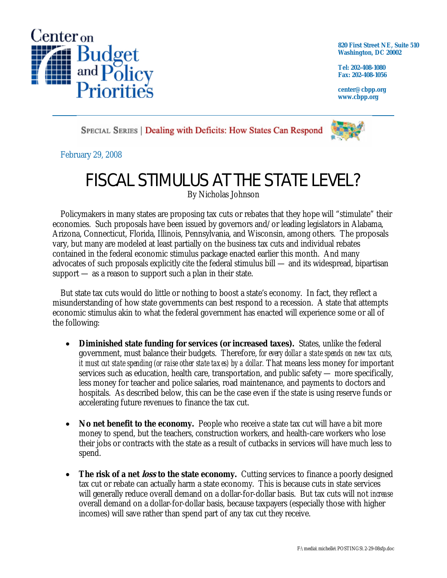

**820 First Street NE, Suite 510 Washington, DC 20002** 

**Tel: 202-408-1080 Fax: 202-408-1056** 

**center@cbpp.org www.cbpp.org** 

SPECIAL SERIES | Dealing with Deficits: How States Can Respond



February 29, 2008

# FISCAL STIMULUS AT THE STATE LEVEL?

By Nicholas Johnson

 Policymakers in many states are proposing tax cuts or rebates that they hope will "stimulate" their economies. Such proposals have been issued by governors and/or leading legislators in Alabama, Arizona, Connecticut, Florida, Illinois, Pennsylvania, and Wisconsin, among others. The proposals vary, but many are modeled at least partially on the business tax cuts and individual rebates contained in the federal economic stimulus package enacted earlier this month. And many advocates of such proposals explicitly cite the federal stimulus bill — and its widespread, bipartisan support — as a reason to support such a plan in their state.

 But state tax cuts would do little or nothing to boost a state's economy. In fact, they reflect a misunderstanding of how state governments can best respond to a recession. A state that attempts economic stimulus akin to what the federal government has enacted will experience some or all of the following:

- **Diminished state funding for services (or increased taxes).** States, unlike the federal government, must balance their budgets. Therefore, *for every dollar a state spends on new tax cuts, it must cut state spending (or raise other state taxes) by a dollar.* That means less money for important services such as education, health care, transportation, and public safety — more specifically, less money for teacher and police salaries, road maintenance, and payments to doctors and hospitals. As described below, this can be the case even if the state is using reserve funds or accelerating future revenues to finance the tax cut.
- No net benefit to the economy. People who receive a state tax cut will have a bit more money to spend, but the teachers, construction workers, and health-care workers who lose their jobs or contracts with the state as a result of cutbacks in services will have much less to spend.
- **The risk of a net** *loss* **to the state economy.** Cutting services to finance a poorly designed tax cut or rebate can actually harm a state economy. This is because cuts in state services will generally reduce overall demand on a dollar-for-dollar basis. But tax cuts will not *increase* overall demand on a dollar-for-dollar basis, because taxpayers (especially those with higher incomes) will save rather than spend part of any tax cut they receive.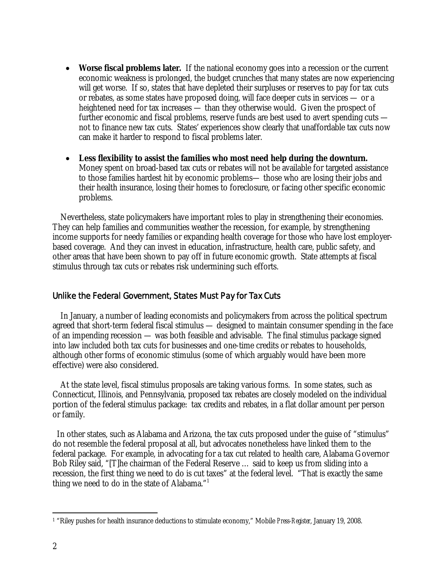- **Worse fiscal problems later.** If the national economy goes into a recession or the current economic weakness is prolonged, the budget crunches that many states are now experiencing will get worse. If so, states that have depleted their surpluses or reserves to pay for tax cuts or rebates, as some states have proposed doing, will face deeper cuts in services — or a heightened need for tax increases — than they otherwise would. Given the prospect of further economic and fiscal problems, reserve funds are best used to avert spending cuts not to finance new tax cuts. States' experiences show clearly that unaffordable tax cuts now can make it harder to respond to fiscal problems later.
- **Less flexibility to assist the families who most need help during the downturn.**  Money spent on broad-based tax cuts or rebates will not be available for targeted assistance to those families hardest hit by economic problems— those who are losing their jobs and their health insurance, losing their homes to foreclosure, or facing other specific economic problems.

 Nevertheless, state policymakers have important roles to play in strengthening their economies. They can help families and communities weather the recession, for example, by strengthening income supports for needy families or expanding health coverage for those who have lost employerbased coverage. And they can invest in education, infrastructure, health care, public safety, and other areas that have been shown to pay off in future economic growth. State attempts at fiscal stimulus through tax cuts or rebates risk undermining such efforts.

#### Unlike the Federal Government, States Must Pay for Tax Cuts

 In January, a number of leading economists and policymakers from across the political spectrum agreed that short-term federal fiscal stimulus — designed to maintain consumer spending in the face of an impending recession — was both feasible and advisable. The final stimulus package signed into law included both tax cuts for businesses and one-time credits or rebates to households, although other forms of economic stimulus (some of which arguably would have been more effective) were also considered.

 At the state level, fiscal stimulus proposals are taking various forms. In some states, such as Connecticut, Illinois, and Pennsylvania, proposed tax rebates are closely modeled on the individual portion of the federal stimulus package: tax credits and rebates, in a flat dollar amount per person or family.

 In other states, such as Alabama and Arizona, the tax cuts proposed under the guise of "stimulus" do not resemble the federal proposal at all, but advocates nonetheless have linked them to the federal package. For example, in advocating for a tax cut related to health care, Alabama Governor Bob Riley said, "[T]he chairman of the Federal Reserve … said to keep us from sliding into a recession, the first thing we need to do is cut taxes" at the federal level. "That is exactly the same thing we need to do in the state of Alabama."1

 $\overline{a}$ 1 "Riley pushes for health insurance deductions to stimulate economy," Mobile *Press-Register*, January 19, 2008.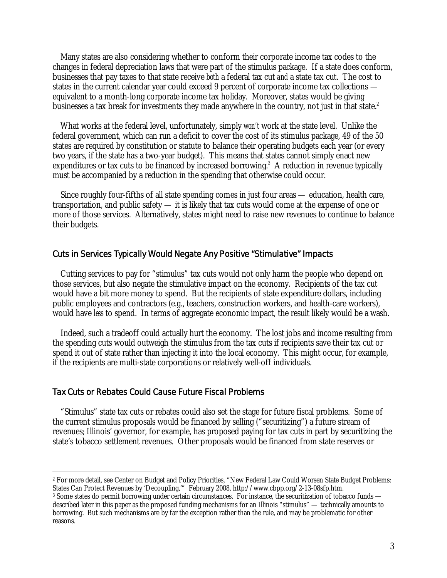Many states are also considering whether to conform their corporate income tax codes to the changes in federal depreciation laws that were part of the stimulus package. If a state does conform, businesses that pay taxes to that state receive *both* a federal tax cut *and* a state tax cut. The cost to states in the current calendar year could exceed 9 percent of corporate income tax collections equivalent to a month-long corporate income tax holiday. Moreover, states would be giving businesses a tax break for investments they made anywhere in the country, not just in that state.<sup>2</sup>

 What works at the federal level, unfortunately, simply *won't* work at the state level. Unlike the federal government, which can run a deficit to cover the cost of its stimulus package, 49 of the 50 states are required by constitution or statute to balance their operating budgets each year (or every two years, if the state has a two-year budget). This means that states cannot simply enact new expenditures or tax cuts to be financed by increased borrowing.<sup>3</sup> A reduction in revenue typically must be accompanied by a reduction in the spending that otherwise could occur.

 Since roughly four-fifths of all state spending comes in just four areas — education, health care, transportation, and public safety — it is likely that tax cuts would come at the expense of one or more of those services. Alternatively, states might need to raise new revenues to continue to balance their budgets.

### Cuts in Services Typically Would Negate Any Positive "Stimulative" Impacts

 Cutting services to pay for "stimulus" tax cuts would not only harm the people who depend on those services, but also negate the stimulative impact on the economy. Recipients of the tax cut would have a bit more money to spend. But the recipients of state expenditure dollars, including public employees and contractors (e.g., teachers, construction workers, and health-care workers), would have *less* to spend. In terms of aggregate economic impact, the result likely would be a wash.

 Indeed, such a tradeoff could actually hurt the economy. The lost jobs and income resulting from the spending cuts would outweigh the stimulus from the tax cuts if recipients save their tax cut or spend it out of state rather than injecting it into the local economy. This might occur, for example, if the recipients are multi-state corporations or relatively well-off individuals.

#### Tax Cuts or Rebates Could Cause Future Fiscal Problems

 "Stimulus" state tax cuts or rebates could also set the stage for future fiscal problems. Some of the current stimulus proposals would be financed by selling ("securitizing") a future stream of revenues; Illinois' governor, for example, has proposed paying for tax cuts in part by securitizing the state's tobacco settlement revenues. Other proposals would be financed from state reserves or

 $\overline{a}$ 2 For more detail, see Center on Budget and Policy Priorities, "New Federal Law Could Worsen State Budget Problems: States Can Protect Revenues by 'Decoupling,'" February 2008, http://www.cbpp.org/2-13-08sfp.htm.

<sup>&</sup>lt;sup>3</sup> Some states do permit borrowing under certain circumstances. For instance, the securitization of tobacco funds described later in this paper as the proposed funding mechanisms for an Illinois "stimulus" — technically amounts to borrowing. But such mechanisms are by far the exception rather than the rule, and may be problematic for other reasons.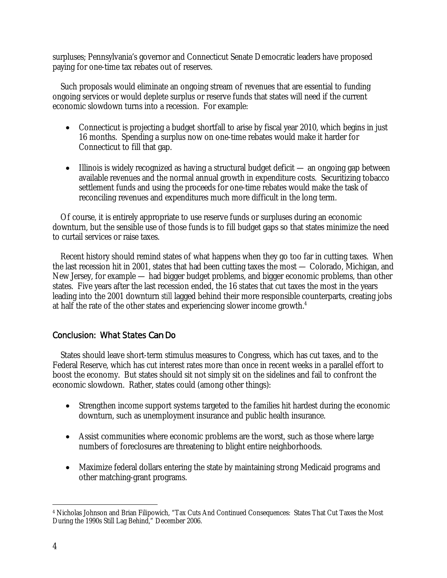surpluses; Pennsylvania's governor and Connecticut Senate Democratic leaders have proposed paying for one-time tax rebates out of reserves.

 Such proposals would eliminate an ongoing stream of revenues that are essential to funding ongoing services or would deplete surplus or reserve funds that states will need if the current economic slowdown turns into a recession. For example:

- Connecticut is projecting a budget shortfall to arise by fiscal year 2010, which begins in just 16 months. Spending a surplus now on one-time rebates would make it harder for Connecticut to fill that gap.
- Illinois is widely recognized as having a structural budget deficit an ongoing gap between available revenues and the normal annual growth in expenditure costs. Securitizing tobacco settlement funds and using the proceeds for one-time rebates would make the task of reconciling revenues and expenditures much more difficult in the long term.

 Of course, it is entirely appropriate to use reserve funds or surpluses during an economic downturn, but the sensible use of those funds is to fill budget gaps so that states minimize the need to curtail services or raise taxes.

 Recent history should remind states of what happens when they go too far in cutting taxes. When the last recession hit in 2001, states that had been cutting taxes the most — Colorado, Michigan, and New Jersey, for example — had bigger budget problems, and bigger economic problems, than other states. Five years after the last recession ended, the 16 states that cut taxes the most in the years leading into the 2001 downturn *still* lagged behind their more responsible counterparts, creating jobs at half the rate of the other states and experiencing slower income growth.<sup>4</sup>

## Conclusion: What States *Can* Do

 States should leave short-term stimulus measures to Congress, which has cut taxes, and to the Federal Reserve, which has cut interest rates more than once in recent weeks in a parallel effort to boost the economy. But states should sit not simply sit on the sidelines and fail to confront the economic slowdown. Rather, states could (among other things):

- Strengthen income support systems targeted to the families hit hardest during the economic downturn, such as unemployment insurance and public health insurance.
- Assist communities where economic problems are the worst, such as those where large numbers of foreclosures are threatening to blight entire neighborhoods.
- Maximize federal dollars entering the state by maintaining strong Medicaid programs and other matching-grant programs.

 $\overline{a}$ 4 Nicholas Johnson and Brian Filipowich, "Tax Cuts And Continued Consequences: States That Cut Taxes the Most During the 1990s Still Lag Behind," December 2006.